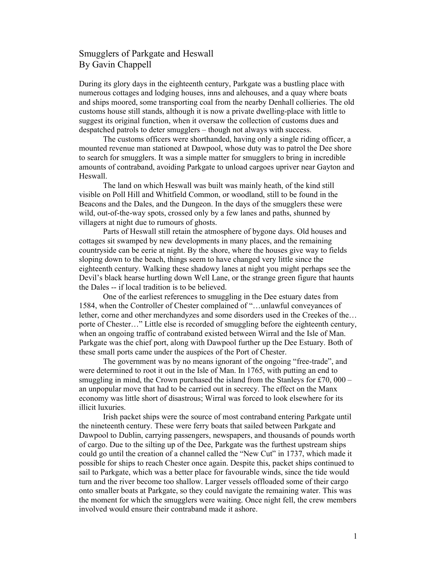## Smugglers of Parkgate and Heswall By Gavin Chappell

During its glory days in the eighteenth century, Parkgate was a bustling place with numerous cottages and lodging houses, inns and alehouses, and a quay where boats and ships moored, some transporting coal from the nearby Denhall collieries. The old customs house still stands, although it is now a private dwelling-place with little to suggest its original function, when it oversaw the collection of customs dues and despatched patrols to deter smugglers – though not always with success.

The customs officers were shorthanded, having only a single riding officer, a mounted revenue man stationed at Dawpool, whose duty was to patrol the Dee shore to search for smugglers. It was a simple matter for smugglers to bring in incredible amounts of contraband, avoiding Parkgate to unload cargoes upriver near Gayton and Heswall.

The land on which Heswall was built was mainly heath, of the kind still visible on Poll Hill and Whitfield Common, or woodland, still to be found in the Beacons and the Dales, and the Dungeon. In the days of the smugglers these were wild, out-of-the-way spots, crossed only by a few lanes and paths, shunned by villagers at night due to rumours of ghosts.

Parts of Heswall still retain the atmosphere of bygone days. Old houses and cottages sit swamped by new developments in many places, and the remaining countryside can be eerie at night. By the shore, where the houses give way to fields sloping down to the beach, things seem to have changed very little since the eighteenth century. Walking these shadowy lanes at night you might perhaps see the Devil's black hearse hurtling down Well Lane, or the strange green figure that haunts the Dales -- if local tradition is to be believed.

One of the earliest references to smuggling in the Dee estuary dates from 1584, when the Controller of Chester complained of "…unlawful conveyances of lether, corne and other merchandyzes and some disorders used in the Creekes of the… porte of Chester…" Little else is recorded of smuggling before the eighteenth century, when an ongoing traffic of contraband existed between Wirral and the Isle of Man. Parkgate was the chief port, along with Dawpool further up the Dee Estuary. Both of these small ports came under the auspices of the Port of Chester.

The government was by no means ignorant of the ongoing "free-trade", and were determined to root it out in the Isle of Man. In 1765, with putting an end to smuggling in mind, the Crown purchased the island from the Stanleys for £70, 000 – an unpopular move that had to be carried out in secrecy. The effect on the Manx economy was little short of disastrous; Wirral was forced to look elsewhere for its illicit luxuries.

Irish packet ships were the source of most contraband entering Parkgate until the nineteenth century. These were ferry boats that sailed between Parkgate and Dawpool to Dublin, carrying passengers, newspapers, and thousands of pounds worth of cargo. Due to the silting up of the Dee, Parkgate was the furthest upstream ships could go until the creation of a channel called the "New Cut" in 1737, which made it possible for ships to reach Chester once again. Despite this, packet ships continued to sail to Parkgate, which was a better place for favourable winds, since the tide would turn and the river become too shallow. Larger vessels offloaded some of their cargo onto smaller boats at Parkgate, so they could navigate the remaining water. This was the moment for which the smugglers were waiting. Once night fell, the crew members involved would ensure their contraband made it ashore.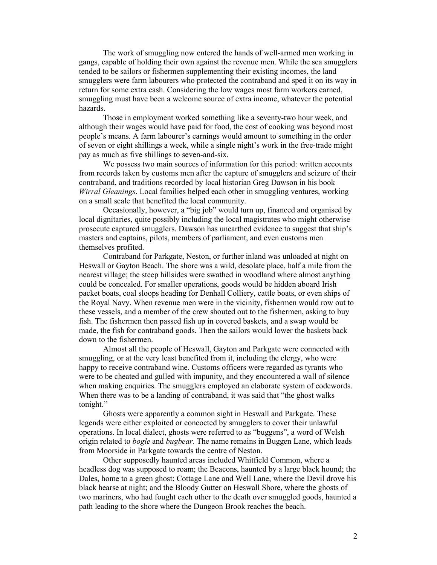The work of smuggling now entered the hands of well-armed men working in gangs, capable of holding their own against the revenue men. While the sea smugglers tended to be sailors or fishermen supplementing their existing incomes, the land smugglers were farm labourers who protected the contraband and sped it on its way in return for some extra cash. Considering the low wages most farm workers earned, smuggling must have been a welcome source of extra income, whatever the potential hazards.

Those in employment worked something like a seventy-two hour week, and although their wages would have paid for food, the cost of cooking was beyond most people's means. A farm labourer's earnings would amount to something in the order of seven or eight shillings a week, while a single night's work in the free-trade might pay as much as five shillings to seven-and-six.

We possess two main sources of information for this period: written accounts from records taken by customs men after the capture of smugglers and seizure of their contraband, and traditions recorded by local historian Greg Dawson in his book *Wirral Gleanings*. Local families helped each other in smuggling ventures, working on a small scale that benefited the local community.

Occasionally, however, a "big job" would turn up, financed and organised by local dignitaries, quite possibly including the local magistrates who might otherwise prosecute captured smugglers. Dawson has unearthed evidence to suggest that ship's masters and captains, pilots, members of parliament, and even customs men themselves profited.

Contraband for Parkgate, Neston, or further inland was unloaded at night on Heswall or Gayton Beach. The shore was a wild, desolate place, half a mile from the nearest village; the steep hillsides were swathed in woodland where almost anything could be concealed. For smaller operations, goods would be hidden aboard Irish packet boats, coal sloops heading for Denhall Colliery, cattle boats, or even ships of the Royal Navy. When revenue men were in the vicinity, fishermen would row out to these vessels, and a member of the crew shouted out to the fishermen, asking to buy fish. The fishermen then passed fish up in covered baskets, and a swap would be made, the fish for contraband goods. Then the sailors would lower the baskets back down to the fishermen.

Almost all the people of Heswall, Gayton and Parkgate were connected with smuggling, or at the very least benefited from it, including the clergy, who were happy to receive contraband wine. Customs officers were regarded as tyrants who were to be cheated and gulled with impunity, and they encountered a wall of silence when making enquiries. The smugglers employed an elaborate system of codewords. When there was to be a landing of contraband, it was said that "the ghost walks tonight."

Ghosts were apparently a common sight in Heswall and Parkgate. These legends were either exploited or concocted by smugglers to cover their unlawful operations. In local dialect, ghosts were referred to as "buggens", a word of Welsh origin related to *bogle* and *bugbear.* The name remains in Buggen Lane, which leads from Moorside in Parkgate towards the centre of Neston.

Other supposedly haunted areas included Whitfield Common, where a headless dog was supposed to roam; the Beacons, haunted by a large black hound; the Dales, home to a green ghost; Cottage Lane and Well Lane, where the Devil drove his black hearse at night; and the Bloody Gutter on Heswall Shore, where the ghosts of two mariners, who had fought each other to the death over smuggled goods, haunted a path leading to the shore where the Dungeon Brook reaches the beach.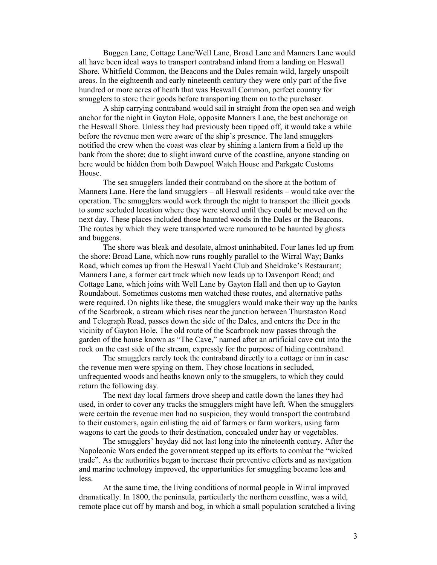Buggen Lane, Cottage Lane/Well Lane, Broad Lane and Manners Lane would all have been ideal ways to transport contraband inland from a landing on Heswall Shore. Whitfield Common, the Beacons and the Dales remain wild, largely unspoilt areas. In the eighteenth and early nineteenth century they were only part of the five hundred or more acres of heath that was Heswall Common, perfect country for smugglers to store their goods before transporting them on to the purchaser.

A ship carrying contraband would sail in straight from the open sea and weigh anchor for the night in Gayton Hole, opposite Manners Lane, the best anchorage on the Heswall Shore. Unless they had previously been tipped off, it would take a while before the revenue men were aware of the ship's presence. The land smugglers notified the crew when the coast was clear by shining a lantern from a field up the bank from the shore; due to slight inward curve of the coastline, anyone standing on here would be hidden from both Dawpool Watch House and Parkgate Customs House.

The sea smugglers landed their contraband on the shore at the bottom of Manners Lane. Here the land smugglers – all Heswall residents – would take over the operation. The smugglers would work through the night to transport the illicit goods to some secluded location where they were stored until they could be moved on the next day. These places included those haunted woods in the Dales or the Beacons. The routes by which they were transported were rumoured to be haunted by ghosts and buggens.

The shore was bleak and desolate, almost uninhabited. Four lanes led up from the shore: Broad Lane, which now runs roughly parallel to the Wirral Way; Banks Road, which comes up from the Heswall Yacht Club and Sheldrake's Restaurant; Manners Lane, a former cart track which now leads up to Davenport Road; and Cottage Lane, which joins with Well Lane by Gayton Hall and then up to Gayton Roundabout. Sometimes customs men watched these routes, and alternative paths were required. On nights like these, the smugglers would make their way up the banks of the Scarbrook, a stream which rises near the junction between Thurstaston Road and Telegraph Road, passes down the side of the Dales, and enters the Dee in the vicinity of Gayton Hole. The old route of the Scarbrook now passes through the garden of the house known as "The Cave," named after an artificial cave cut into the rock on the east side of the stream, expressly for the purpose of hiding contraband.

The smugglers rarely took the contraband directly to a cottage or inn in case the revenue men were spying on them. They chose locations in secluded, unfrequented woods and heaths known only to the smugglers, to which they could return the following day.

The next day local farmers drove sheep and cattle down the lanes they had used, in order to cover any tracks the smugglers might have left. When the smugglers were certain the revenue men had no suspicion, they would transport the contraband to their customers, again enlisting the aid of farmers or farm workers, using farm wagons to cart the goods to their destination, concealed under hay or vegetables.

The smugglers' heyday did not last long into the nineteenth century. After the Napoleonic Wars ended the government stepped up its efforts to combat the "wicked trade". As the authorities began to increase their preventive efforts and as navigation and marine technology improved, the opportunities for smuggling became less and less.

At the same time, the living conditions of normal people in Wirral improved dramatically. In 1800, the peninsula, particularly the northern coastline, was a wild, remote place cut off by marsh and bog, in which a small population scratched a living